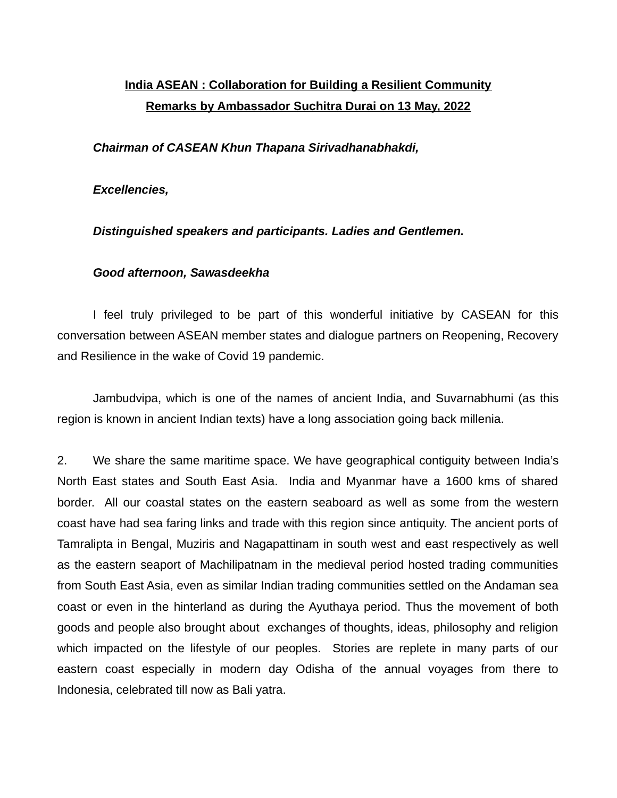## **India ASEAN : Collaboration for Building a Resilient Community Remarks by Ambassador Suchitra Durai on 13 May, 2022**

## *Chairman of CASEAN Khun Thapana Sirivadhanabhakdi,*

## *Excellencies,*

*Distinguished speakers and participants. Ladies and Gentlemen.* 

## *Good afternoon, Sawasdeekha*

I feel truly privileged to be part of this wonderful initiative by CASEAN for this conversation between ASEAN member states and dialogue partners on Reopening, Recovery and Resilience in the wake of Covid 19 pandemic.

Jambudvipa, which is one of the names of ancient India, and Suvarnabhumi (as this region is known in ancient Indian texts) have a long association going back millenia.

2. We share the same maritime space. We have geographical contiguity between India's North East states and South East Asia. India and Myanmar have a 1600 kms of shared border. All our coastal states on the eastern seaboard as well as some from the western coast have had sea faring links and trade with this region since antiquity. The ancient ports of Tamralipta in Bengal, Muziris and Nagapattinam in south west and east respectively as well as the eastern seaport of Machilipatnam in the medieval period hosted trading communities from South East Asia, even as similar Indian trading communities settled on the Andaman sea coast or even in the hinterland as during the Ayuthaya period. Thus the movement of both goods and people also brought about exchanges of thoughts, ideas, philosophy and religion which impacted on the lifestyle of our peoples. Stories are replete in many parts of our eastern coast especially in modern day Odisha of the annual voyages from there to Indonesia, celebrated till now as Bali yatra.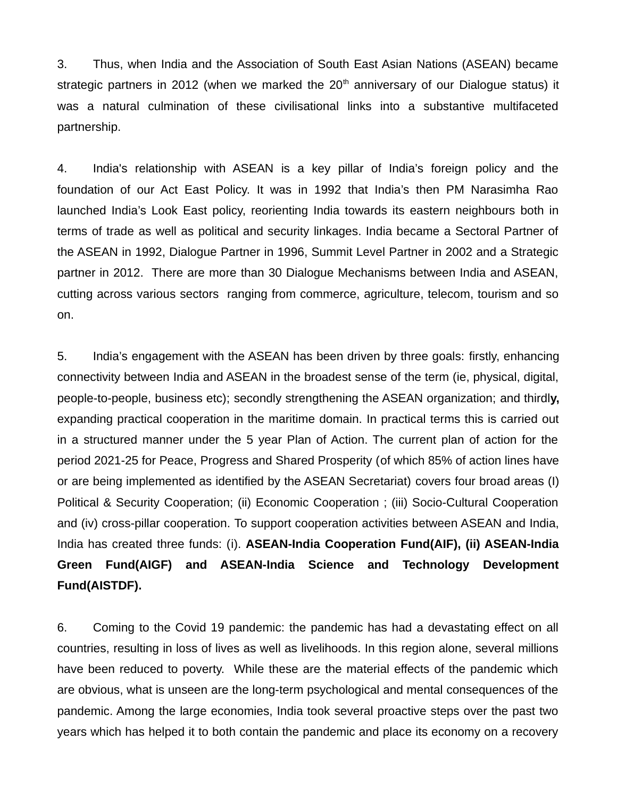3. Thus, when India and the Association of South East Asian Nations (ASEAN) became strategic partners in 2012 (when we marked the  $20<sup>th</sup>$  anniversary of our Dialogue status) it was a natural culmination of these civilisational links into a substantive multifaceted partnership.

4. India's relationship with ASEAN is a key pillar of India's foreign policy and the foundation of our Act East Policy. It was in 1992 that India's then PM Narasimha Rao launched India's Look East policy, reorienting India towards its eastern neighbours both in terms of trade as well as political and security linkages. India became a Sectoral Partner of the ASEAN in 1992, Dialogue Partner in 1996, Summit Level Partner in 2002 and a Strategic partner in 2012. There are more than 30 Dialogue Mechanisms between India and ASEAN, cutting across various sectors ranging from commerce, agriculture, telecom, tourism and so on.

5. India's engagement with the ASEAN has been driven by three goals: firstly, enhancing connectivity between India and ASEAN in the broadest sense of the term (ie, physical, digital, people-to-people, business etc); secondly strengthening the ASEAN organization; and thirdl**y,** expanding practical cooperation in the maritime domain. In practical terms this is carried out in a structured manner under the 5 year Plan of Action. The current plan of action for the period 2021-25 for Peace, Progress and Shared Prosperity (of which 85% of action lines have or are being implemented as identified by the ASEAN Secretariat) covers four broad areas (I) Political & Security Cooperation; (ii) Economic Cooperation ; (iii) Socio-Cultural Cooperation and (iv) cross-pillar cooperation. To support cooperation activities between ASEAN and India, India has created three funds: (i). **ASEAN-India Cooperation Fund(AIF), (ii) ASEAN-India Green Fund(AIGF) and ASEAN-India Science and Technology Development Fund(AISTDF).**

6. Coming to the Covid 19 pandemic: the pandemic has had a devastating effect on all countries, resulting in loss of lives as well as livelihoods. In this region alone, several millions have been reduced to poverty. While these are the material effects of the pandemic which are obvious, what is unseen are the long-term psychological and mental consequences of the pandemic. Among the large economies, India took several proactive steps over the past two years which has helped it to both contain the pandemic and place its economy on a recovery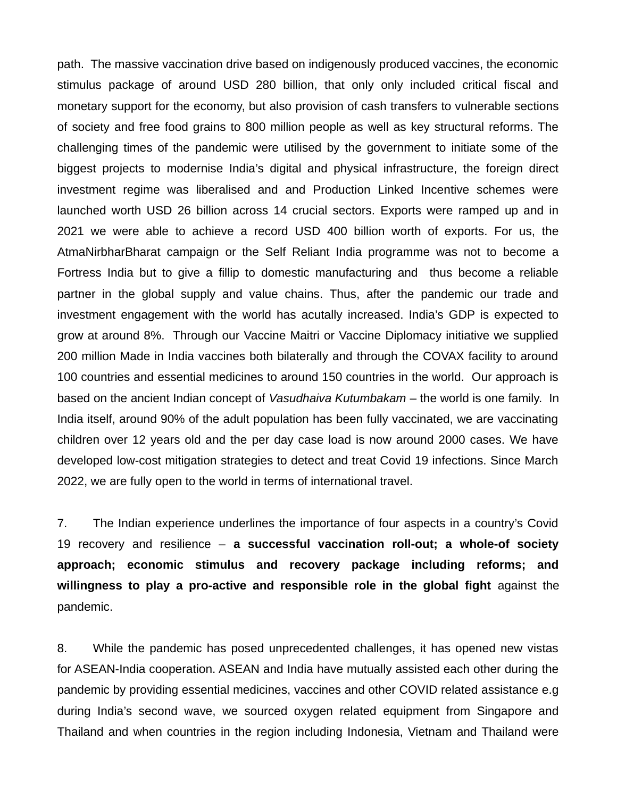path. The massive vaccination drive based on indigenously produced vaccines, the economic stimulus package of around USD 280 billion, that only only included critical fiscal and monetary support for the economy, but also provision of cash transfers to vulnerable sections of society and free food grains to 800 million people as well as key structural reforms. The challenging times of the pandemic were utilised by the government to initiate some of the biggest projects to modernise India's digital and physical infrastructure, the foreign direct investment regime was liberalised and and Production Linked Incentive schemes were launched worth USD 26 billion across 14 crucial sectors. Exports were ramped up and in 2021 we were able to achieve a record USD 400 billion worth of exports. For us, the AtmaNirbharBharat campaign or the Self Reliant India programme was not to become a Fortress India but to give a fillip to domestic manufacturing and thus become a reliable partner in the global supply and value chains. Thus, after the pandemic our trade and investment engagement with the world has acutally increased. India's GDP is expected to grow at around 8%. Through our Vaccine Maitri or Vaccine Diplomacy initiative we supplied 200 million Made in India vaccines both bilaterally and through the COVAX facility to around 100 countries and essential medicines to around 150 countries in the world. Our approach is based on the ancient Indian concept of *Vasudhaiva Kutumbakam* – the world is one family. In India itself, around 90% of the adult population has been fully vaccinated, we are vaccinating children over 12 years old and the per day case load is now around 2000 cases. We have developed low-cost mitigation strategies to detect and treat Covid 19 infections. Since March 2022, we are fully open to the world in terms of international travel.

7. The Indian experience underlines the importance of four aspects in a country's Covid 19 recovery and resilience – **a successful vaccination roll-out; a whole-of society approach; economic stimulus and recovery package including reforms; and willingness to play a pro-active and responsible role in the global fight** against the pandemic.

8. While the pandemic has posed unprecedented challenges, it has opened new vistas for ASEAN-India cooperation. ASEAN and India have mutually assisted each other during the pandemic by providing essential medicines, vaccines and other COVID related assistance e.g during India's second wave, we sourced oxygen related equipment from Singapore and Thailand and when countries in the region including Indonesia, Vietnam and Thailand were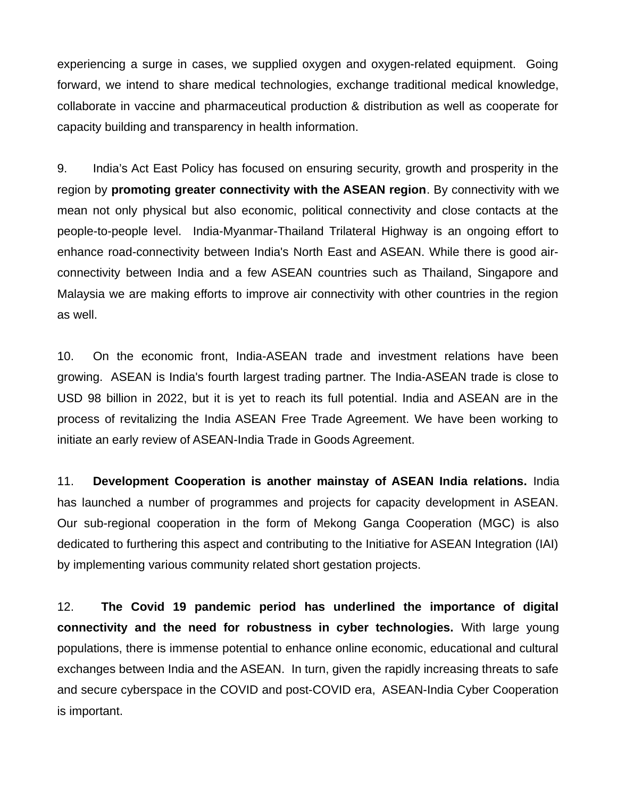experiencing a surge in cases, we supplied oxygen and oxygen-related equipment. Going forward, we intend to share medical technologies, exchange traditional medical knowledge, collaborate in vaccine and pharmaceutical production & distribution as well as cooperate for capacity building and transparency in health information.

9. India's Act East Policy has focused on ensuring security, growth and prosperity in the region by **promoting greater connectivity with the ASEAN region**. By connectivity with we mean not only physical but also economic, political connectivity and close contacts at the people-to-people level. India-Myanmar-Thailand Trilateral Highway is an ongoing effort to enhance road-connectivity between India's North East and ASEAN. While there is good airconnectivity between India and a few ASEAN countries such as Thailand, Singapore and Malaysia we are making efforts to improve air connectivity with other countries in the region as well.

10. On the economic front, India-ASEAN trade and investment relations have been growing. ASEAN is India's fourth largest trading partner. The India-ASEAN trade is close to USD 98 billion in 2022, but it is yet to reach its full potential. India and ASEAN are in the process of revitalizing the India ASEAN Free Trade Agreement. We have been working to initiate an early review of ASEAN-India Trade in Goods Agreement.

11. **Development Cooperation is another mainstay of ASEAN India relations.** India has launched a number of programmes and projects for capacity development in ASEAN. Our sub-regional cooperation in the form of Mekong Ganga Cooperation (MGC) is also dedicated to furthering this aspect and contributing to the Initiative for ASEAN Integration (IAI) by implementing various community related short gestation projects.

12. **The Covid 19 pandemic period has underlined the importance of digital connectivity and the need for robustness in cyber technologies.** With large young populations, there is immense potential to enhance online economic, educational and cultural exchanges between India and the ASEAN. In turn, given the rapidly increasing threats to safe and secure cyberspace in the COVID and post-COVID era, ASEAN-India Cyber Cooperation is important.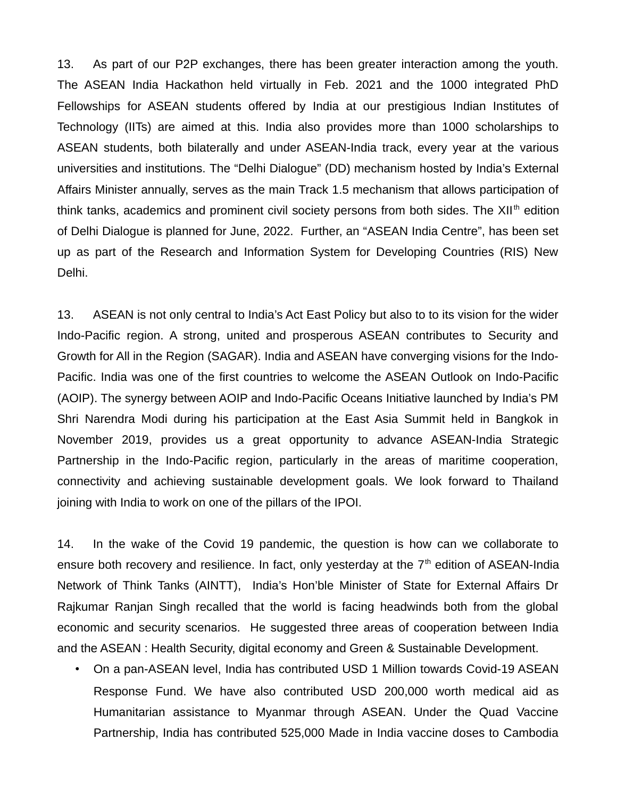13. As part of our P2P exchanges, there has been greater interaction among the youth. The ASEAN India Hackathon held virtually in Feb. 2021 and the 1000 integrated PhD Fellowships for ASEAN students offered by India at our prestigious Indian Institutes of Technology (IITs) are aimed at this. India also provides more than 1000 scholarships to ASEAN students, both bilaterally and under ASEAN-India track, every year at the various universities and institutions. The "Delhi Dialogue" (DD) mechanism hosted by India's External Affairs Minister annually, serves as the main Track 1.5 mechanism that allows participation of think tanks, academics and prominent civil society persons from both sides. The XII<sup>th</sup> edition of Delhi Dialogue is planned for June, 2022. Further, an "ASEAN India Centre", has been set up as part of the Research and Information System for Developing Countries (RIS) New Delhi.

13. ASEAN is not only central to India's Act East Policy but also to to its vision for the wider Indo-Pacific region. A strong, united and prosperous ASEAN contributes to Security and Growth for All in the Region (SAGAR). India and ASEAN have converging visions for the Indo-Pacific. India was one of the first countries to welcome the ASEAN Outlook on Indo-Pacific (AOIP). The synergy between AOIP and Indo-Pacific Oceans Initiative launched by India's PM Shri Narendra Modi during his participation at the East Asia Summit held in Bangkok in November 2019, provides us a great opportunity to advance ASEAN-India Strategic Partnership in the Indo-Pacific region, particularly in the areas of maritime cooperation, connectivity and achieving sustainable development goals. We look forward to Thailand joining with India to work on one of the pillars of the IPOI.

14. In the wake of the Covid 19 pandemic, the question is how can we collaborate to ensure both recovery and resilience. In fact, only yesterday at the  $7<sup>th</sup>$  edition of ASEAN-India Network of Think Tanks (AINTT), India's Hon'ble Minister of State for External Affairs Dr Rajkumar Ranjan Singh recalled that the world is facing headwinds both from the global economic and security scenarios. He suggested three areas of cooperation between India and the ASEAN : Health Security, digital economy and Green & Sustainable Development.

• On a pan-ASEAN level, India has contributed USD 1 Million towards Covid-19 ASEAN Response Fund. We have also contributed USD 200,000 worth medical aid as Humanitarian assistance to Myanmar through ASEAN. Under the Quad Vaccine Partnership, India has contributed 525,000 Made in India vaccine doses to Cambodia